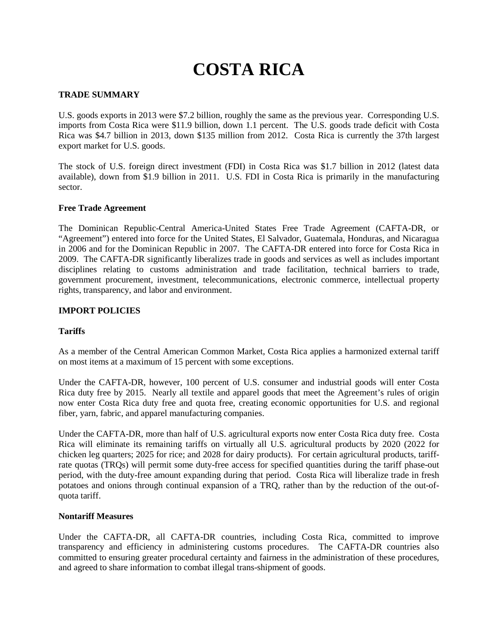# **COSTA RICA**

## **TRADE SUMMARY**

U.S. goods exports in 2013 were \$7.2 billion, roughly the same as the previous year. Corresponding U.S. imports from Costa Rica were \$11.9 billion, down 1.1 percent. The U.S. goods trade deficit with Costa Rica was \$4.7 billion in 2013, down \$135 million from 2012. Costa Rica is currently the 37th largest export market for U.S. goods.

The stock of U.S. foreign direct investment (FDI) in Costa Rica was \$1.7 billion in 2012 (latest data available), down from \$1.9 billion in 2011. U.S. FDI in Costa Rica is primarily in the manufacturing sector.

## **Free Trade Agreement**

The Dominican Republic-Central America-United States Free Trade Agreement (CAFTA-DR, or "Agreement") entered into force for the United States, El Salvador, Guatemala, Honduras, and Nicaragua in 2006 and for the Dominican Republic in 2007. The CAFTA-DR entered into force for Costa Rica in 2009. The CAFTA-DR significantly liberalizes trade in goods and services as well as includes important disciplines relating to customs administration and trade facilitation, technical barriers to trade, government procurement, investment, telecommunications, electronic commerce, intellectual property rights, transparency, and labor and environment.

## **IMPORT POLICIES**

## **Tariffs**

As a member of the Central American Common Market, Costa Rica applies a harmonized external tariff on most items at a maximum of 15 percent with some exceptions.

Under the CAFTA-DR, however, 100 percent of U.S. consumer and industrial goods will enter Costa Rica duty free by 2015. Nearly all textile and apparel goods that meet the Agreement's rules of origin now enter Costa Rica duty free and quota free, creating economic opportunities for U.S. and regional fiber, yarn, fabric, and apparel manufacturing companies.

Under the CAFTA-DR, more than half of U.S. agricultural exports now enter Costa Rica duty free. Costa Rica will eliminate its remaining tariffs on virtually all U.S. agricultural products by 2020 (2022 for chicken leg quarters; 2025 for rice; and 2028 for dairy products). For certain agricultural products, tariffrate quotas (TRQs) will permit some duty-free access for specified quantities during the tariff phase-out period, with the duty-free amount expanding during that period. Costa Rica will liberalize trade in fresh potatoes and onions through continual expansion of a TRQ, rather than by the reduction of the out-ofquota tariff.

## **Nontariff Measures**

Under the CAFTA-DR, all CAFTA-DR countries, including Costa Rica, committed to improve transparency and efficiency in administering customs procedures. The CAFTA-DR countries also committed to ensuring greater procedural certainty and fairness in the administration of these procedures, and agreed to share information to combat illegal trans-shipment of goods.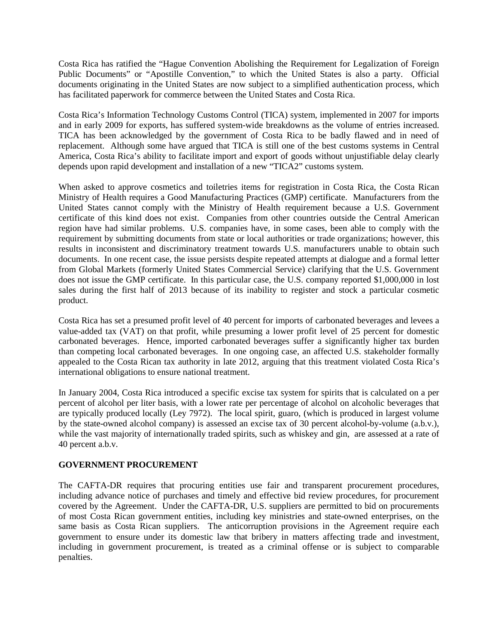Costa Rica has ratified the "Hague Convention Abolishing the Requirement for Legalization of Foreign Public Documents" or "Apostille Convention," to which the United States is also a party. Official documents originating in the United States are now subject to a simplified authentication process, which has facilitated paperwork for commerce between the United States and Costa Rica.

Costa Rica's Information Technology Customs Control (TICA) system, implemented in 2007 for imports and in early 2009 for exports, has suffered system-wide breakdowns as the volume of entries increased. TICA has been acknowledged by the government of Costa Rica to be badly flawed and in need of replacement. Although some have argued that TICA is still one of the best customs systems in Central America, Costa Rica's ability to facilitate import and export of goods without unjustifiable delay clearly depends upon rapid development and installation of a new "TICA2" customs system.

When asked to approve cosmetics and toiletries items for registration in Costa Rica, the Costa Rican Ministry of Health requires a Good Manufacturing Practices (GMP) certificate. Manufacturers from the United States cannot comply with the Ministry of Health requirement because a U.S. Government certificate of this kind does not exist. Companies from other countries outside the Central American region have had similar problems. U.S. companies have, in some cases, been able to comply with the requirement by submitting documents from state or local authorities or trade organizations; however, this results in inconsistent and discriminatory treatment towards U.S. manufacturers unable to obtain such documents. In one recent case, the issue persists despite repeated attempts at dialogue and a formal letter from Global Markets (formerly United States Commercial Service) clarifying that the U.S. Government does not issue the GMP certificate. In this particular case, the U.S. company reported \$1,000,000 in lost sales during the first half of 2013 because of its inability to register and stock a particular cosmetic product.

Costa Rica has set a presumed profit level of 40 percent for imports of carbonated beverages and levees a value-added tax (VAT) on that profit, while presuming a lower profit level of 25 percent for domestic carbonated beverages. Hence, imported carbonated beverages suffer a significantly higher tax burden than competing local carbonated beverages. In one ongoing case, an affected U.S. stakeholder formally appealed to the Costa Rican tax authority in late 2012, arguing that this treatment violated Costa Rica's international obligations to ensure national treatment.

In January 2004, Costa Rica introduced a specific excise tax system for spirits that is calculated on a per percent of alcohol per liter basis, with a lower rate per percentage of alcohol on alcoholic beverages that are typically produced locally (Ley 7972). The local spirit, guaro, (which is produced in largest volume by the state-owned alcohol company) is assessed an excise tax of 30 percent alcohol-by-volume (a.b.v.), while the vast majority of internationally traded spirits, such as whiskey and gin, are assessed at a rate of 40 percent a.b.v.

## **GOVERNMENT PROCUREMENT**

The CAFTA-DR requires that procuring entities use fair and transparent procurement procedures, including advance notice of purchases and timely and effective bid review procedures, for procurement covered by the Agreement. Under the CAFTA-DR, U.S. suppliers are permitted to bid on procurements of most Costa Rican government entities, including key ministries and state-owned enterprises, on the same basis as Costa Rican suppliers. The anticorruption provisions in the Agreement require each government to ensure under its domestic law that bribery in matters affecting trade and investment, including in government procurement, is treated as a criminal offense or is subject to comparable penalties.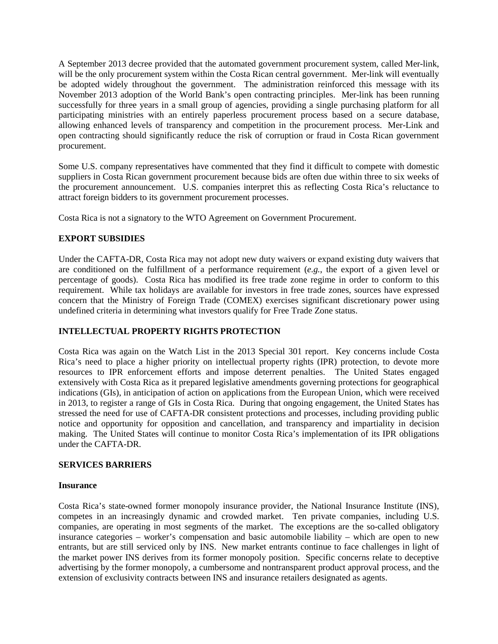A September 2013 decree provided that the automated government procurement system, called Mer-link, will be the only procurement system within the Costa Rican central government. Mer-link will eventually be adopted widely throughout the government. The administration reinforced this message with its November 2013 adoption of the World Bank's open contracting principles. Mer-link has been running successfully for three years in a small group of agencies, providing a single purchasing platform for all participating ministries with an entirely paperless procurement process based on a secure database, allowing enhanced levels of transparency and competition in the procurement process. Mer-Link and open contracting should significantly reduce the risk of corruption or fraud in Costa Rican government procurement.

Some U.S. company representatives have commented that they find it difficult to compete with domestic suppliers in Costa Rican government procurement because bids are often due within three to six weeks of the procurement announcement. U.S. companies interpret this as reflecting Costa Rica's reluctance to attract foreign bidders to its government procurement processes.

Costa Rica is not a signatory to the WTO Agreement on Government Procurement.

# **EXPORT SUBSIDIES**

Under the CAFTA-DR, Costa Rica may not adopt new duty waivers or expand existing duty waivers that are conditioned on the fulfillment of a performance requirement (*e.g.*, the export of a given level or percentage of goods). Costa Rica has modified its free trade zone regime in order to conform to this requirement. While tax holidays are available for investors in free trade zones, sources have expressed concern that the Ministry of Foreign Trade (COMEX) exercises significant discretionary power using undefined criteria in determining what investors qualify for Free Trade Zone status.

# **INTELLECTUAL PROPERTY RIGHTS PROTECTION**

Costa Rica was again on the Watch List in the 2013 Special 301 report. Key concerns include Costa Rica's need to place a higher priority on intellectual property rights (IPR) protection, to devote more resources to IPR enforcement efforts and impose deterrent penalties. The United States engaged extensively with Costa Rica as it prepared legislative amendments governing protections for geographical indications (GIs), in anticipation of action on applications from the European Union, which were received in 2013, to register a range of GIs in Costa Rica. During that ongoing engagement, the United States has stressed the need for use of CAFTA-DR consistent protections and processes, including providing public notice and opportunity for opposition and cancellation, and transparency and impartiality in decision making. The United States will continue to monitor Costa Rica's implementation of its IPR obligations under the CAFTA-DR.

## **SERVICES BARRIERS**

## **Insurance**

Costa Rica's state-owned former monopoly insurance provider, the National Insurance Institute (INS), competes in an increasingly dynamic and crowded market. Ten private companies, including U.S. companies, are operating in most segments of the market. The exceptions are the so-called obligatory insurance categories – worker's compensation and basic automobile liability – which are open to new entrants, but are still serviced only by INS. New market entrants continue to face challenges in light of the market power INS derives from its former monopoly position. Specific concerns relate to deceptive advertising by the former monopoly, a cumbersome and nontransparent product approval process, and the extension of exclusivity contracts between INS and insurance retailers designated as agents.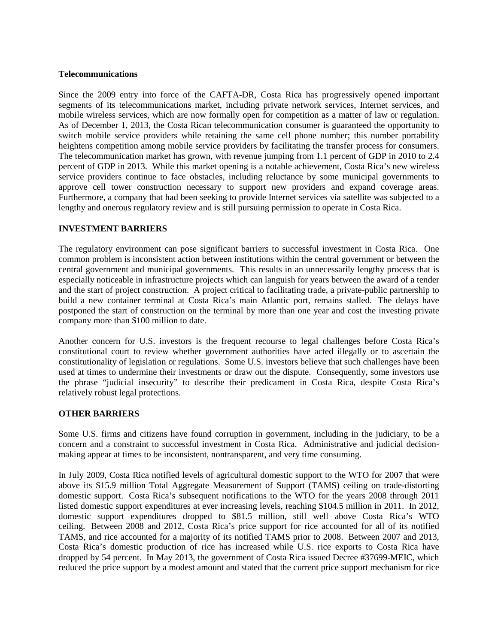#### **Telecommunications**

Since the 2009 entry into force of the CAFTA-DR, Costa Rica has progressively opened important segments of its telecommunications market, including private network services, Internet services, and mobile wireless services, which are now formally open for competition as a matter of law or regulation. As of December 1, 2013, the Costa Rican telecommunication consumer is guaranteed the opportunity to switch mobile service providers while retaining the same cell phone number; this number portability heightens competition among mobile service providers by facilitating the transfer process for consumers. The telecommunication market has grown, with revenue jumping from 1.1 percent of GDP in 2010 to 2.4 percent of GDP in 2013. While this market opening is a notable achievement, Costa Rica's new wireless service providers continue to face obstacles, including reluctance by some municipal governments to approve cell tower construction necessary to support new providers and expand coverage areas. Furthermore, a company that had been seeking to provide Internet services via satellite was subjected to a lengthy and onerous regulatory review and is still pursuing permission to operate in Costa Rica.

## **INVESTMENT BARRIERS**

The regulatory environment can pose significant barriers to successful investment in Costa Rica. One common problem is inconsistent action between institutions within the central government or between the central government and municipal governments. This results in an unnecessarily lengthy process that is especially noticeable in infrastructure projects which can languish for years between the award of a tender and the start of project construction. A project critical to facilitating trade, a private-public partnership to build a new container terminal at Costa Rica's main Atlantic port, remains stalled. The delays have postponed the start of construction on the terminal by more than one year and cost the investing private company more than \$100 million to date.

Another concern for U.S. investors is the frequent recourse to legal challenges before Costa Rica's constitutional court to review whether government authorities have acted illegally or to ascertain the constitutionality of legislation or regulations. Some U.S. investors believe that such challenges have been used at times to undermine their investments or draw out the dispute. Consequently, some investors use the phrase "judicial insecurity" to describe their predicament in Costa Rica, despite Costa Rica's relatively robust legal protections.

## **OTHER BARRIERS**

Some U.S. firms and citizens have found corruption in government, including in the judiciary, to be a concern and a constraint to successful investment in Costa Rica. Administrative and judicial decisionmaking appear at times to be inconsistent, nontransparent, and very time consuming.

In July 2009, Costa Rica notified levels of agricultural domestic support to the WTO for 2007 that were above its \$15.9 million Total Aggregate Measurement of Support (TAMS) ceiling on trade-distorting domestic support. Costa Rica's subsequent notifications to the WTO for the years 2008 through 2011 listed domestic support expenditures at ever increasing levels, reaching \$104.5 million in 2011. In 2012, domestic support expenditures dropped to \$81.5 million, still well above Costa Rica's WTO ceiling. Between 2008 and 2012, Costa Rica's price support for rice accounted for all of its notified TAMS, and rice accounted for a majority of its notified TAMS prior to 2008. Between 2007 and 2013, Costa Rica's domestic production of rice has increased while U.S. rice exports to Costa Rica have dropped by 54 percent. In May 2013, the government of Costa Rica issued Decree #37699-MEIC, which reduced the price support by a modest amount and stated that the current price support mechanism for rice